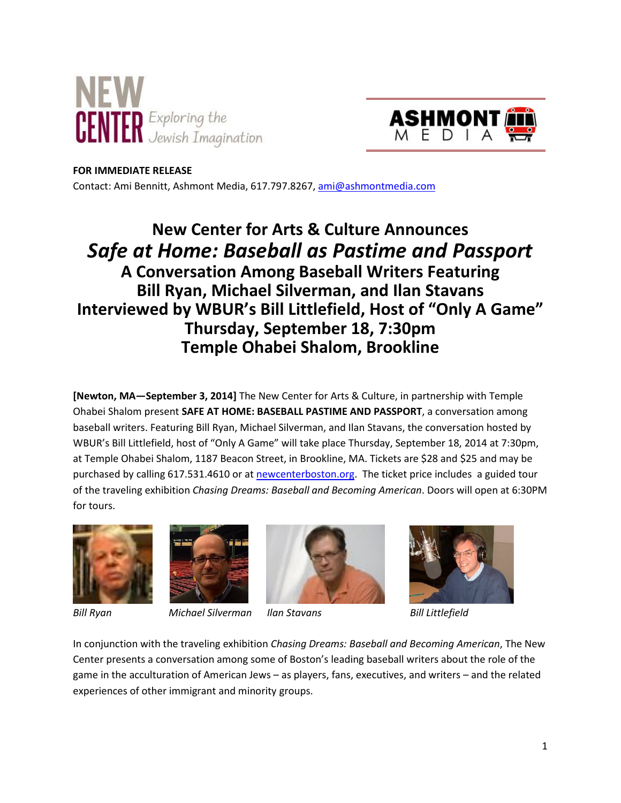



#### **FOR IMMEDIATE RELEASE**

Contact: Ami Bennitt, Ashmont Media, 617.797.8267, ami@ashmontmedia.com

# **New Center for Arts & Culture Announces**  *Safe at Home: Baseball as Pastime and Passport* **A Conversation Among Baseball Writers Featuring Bill Ryan, Michael Silverman, and Ilan Stavans Interviewed by WBUR's Bill Littlefield, Host of "Only A Game" Thursday, September 18, 7:30pm Temple Ohabei Shalom, Brookline**

**[Newton, MA—September 3, 2014]** The New Center for Arts & Culture, in partnership with Temple Ohabei Shalom present **SAFE AT HOME: BASEBALL PASTIME AND PASSPORT**, a conversation among baseball writers. Featuring Bill Ryan, Michael Silverman, and Ilan Stavans, the conversation hosted by WBUR's Bill Littlefield, host of "Only A Game" will take place Thursday, September 18, 2014 at 7:30pm, at Temple Ohabei Shalom, 1187 Beacon Street, in Brookline, MA. Tickets are \$28 and \$25 and may be purchased by calling 617.531.4610 or at newcenterboston.org. The ticket price includes a guided tour of the traveling exhibition *Chasing Dreams: Baseball and Becoming American*. Doors will open at 6:30PM for tours.





*Bill Ryan Michael Silverman Ilan Stavans Bill Littlefield* 



In conjunction with the traveling exhibition *Chasing Dreams: Baseball and Becoming American*, The New Center presents a conversation among some of Boston's leading baseball writers about the role of the game in the acculturation of American Jews – as players, fans, executives, and writers – and the related experiences of other immigrant and minority groups.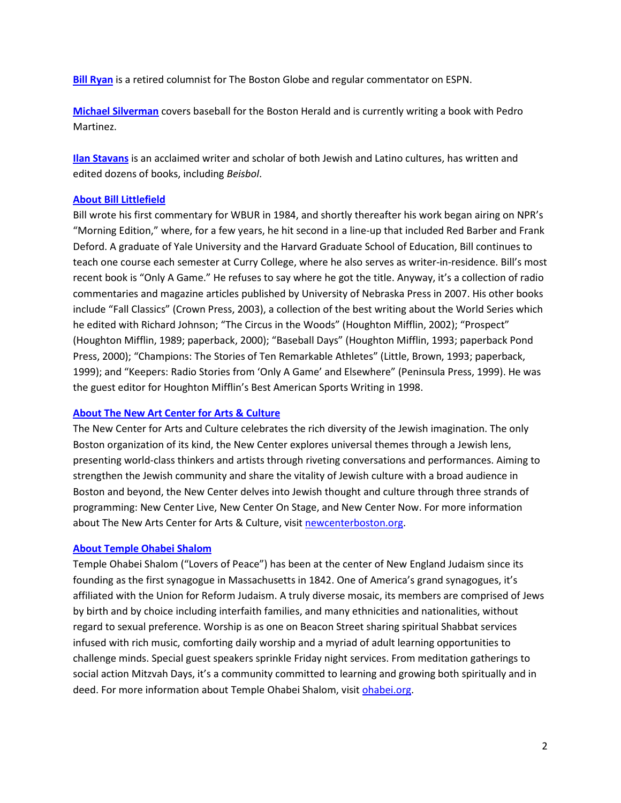**Bill Ryan** is a retired columnist for The Boston Globe and regular commentator on ESPN.

**Michael Silverman** covers baseball for the Boston Herald and is currently writing a book with Pedro Martinez.

**Ilan Stavans** is an acclaimed writer and scholar of both Jewish and Latino cultures, has written and edited dozens of books, including *Beisbol*.

### **About Bill Littlefield**

Bill wrote his first commentary for WBUR in 1984, and shortly thereafter his work began airing on NPR's "Morning Edition," where, for a few years, he hit second in a line-up that included Red Barber and Frank Deford. A graduate of Yale University and the Harvard Graduate School of Education, Bill continues to teach one course each semester at Curry College, where he also serves as writer-in-residence. Bill's most recent book is "Only A Game." He refuses to say where he got the title. Anyway, it's a collection of radio commentaries and magazine articles published by University of Nebraska Press in 2007. His other books include "Fall Classics" (Crown Press, 2003), a collection of the best writing about the World Series which he edited with Richard Johnson; "The Circus in the Woods" (Houghton Mifflin, 2002); "Prospect" (Houghton Mifflin, 1989; paperback, 2000); "Baseball Days" (Houghton Mifflin, 1993; paperback Pond Press, 2000); "Champions: The Stories of Ten Remarkable Athletes" (Little, Brown, 1993; paperback, 1999); and "Keepers: Radio Stories from 'Only A Game' and Elsewhere" (Peninsula Press, 1999). He was the guest editor for Houghton Mifflin's Best American Sports Writing in 1998.

# **About The New Art Center for Arts & Culture**

The New Center for Arts and Culture celebrates the rich diversity of the Jewish imagination. The only Boston organization of its kind, the New Center explores universal themes through a Jewish lens, presenting world-class thinkers and artists through riveting conversations and performances. Aiming to strengthen the Jewish community and share the vitality of Jewish culture with a broad audience in Boston and beyond, the New Center delves into Jewish thought and culture through three strands of programming: New Center Live, New Center On Stage, and New Center Now. For more information about The New Arts Center for Arts & Culture, visit newcenterboston.org.

# **About Temple Ohabei Shalom**

Temple Ohabei Shalom ("Lovers of Peace") has been at the center of New England Judaism since its founding as the first synagogue in Massachusetts in 1842. One of America's grand synagogues, it's affiliated with the Union for Reform Judaism. A truly diverse mosaic, its members are comprised of Jews by birth and by choice including interfaith families, and many ethnicities and nationalities, without regard to sexual preference. Worship is as one on Beacon Street sharing spiritual Shabbat services infused with rich music, comforting daily worship and a myriad of adult learning opportunities to challenge minds. Special guest speakers sprinkle Friday night services. From meditation gatherings to social action Mitzvah Days, it's a community committed to learning and growing both spiritually and in deed. For more information about Temple Ohabei Shalom, visit ohabei.org.